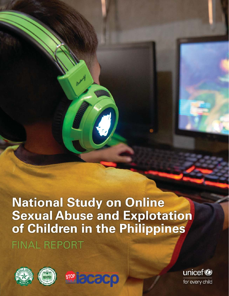# **National Study on Online Sexual Abuse and Explotation** of Children in the Philippines **FINAL REPORT**







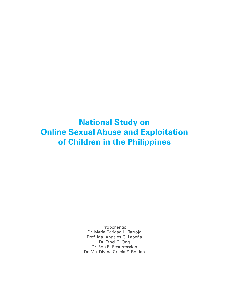**National Study on Online Sexual Abuse and Exploitation of Children in the Philippines**

> Proponents: Dr. Maria Caridad H. Tarroja Prof. Ma. Angeles G. Lapeña Dr. Ethel C. Ong Dr. Ron R. Resurreccion Dr. Ma. Divina Gracia Z. Roldan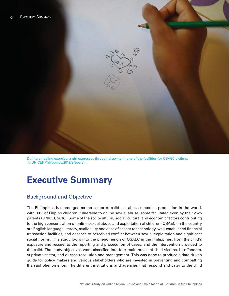

During a healing exercise, a girl expresses through drawing in one of the facilities for OSAEC victims. © UNICEF Philippines/2019/SNoorani

# **Executive Summary**

# Background and Objective

The Philippines has emerged as the center of child sex abuse materials production in the world, with 80% of Filipino children vulnerable to online sexual abuse, some facilitated even by their own parents (UNICEF, 2016). Some of the sociocultural, social, cultural and economic factors contributing to the high concentration of online sexual abuse and exploitation of children (OSAEC) in the country are English language literacy, availability and ease of access to technology, well-established financial transaction facilities, and absence of perceived conflict between sexual exploitation and significant social norms. This study looks into the phenomenon of OSAEC in the Philippines, from the child's exposure and rescue, to the reporting and prosecution of cases, and the intervention provided to the child. The study objectives were classified into four main areas: a) child victims, b) offenders, c) private sector, and d) case resolution and management. This was done to produce a data-driven guide for policy makers and various stakeholders who are invested in preventing and combatting the said phenomenon. The different institutions and agencies that respond and cater to the child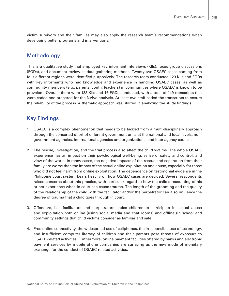victim survivors and their families may also apply the research team's recommendations when developing better programs and interventions.

## Methodology

This is a qualitative study that employed key informant interviews (KIIs), focus group discussions (FGDs), and document review as data-gathering methods. Twenty-two OSAEC cases coming from four different regions were identified purposively. The research team conducted 129 KIIs and FGDs with key informants who had knowledge and experience in handling OSAEC cases, as well as community members (e.g., parents, youth, teachers) in communities where OSAEC is known to be prevalent. Overall, there were 133 KIIs and 16 FGDs conducted, with a total of 149 transcripts that were coded and prepared for the NVivo analysis. At least two staff coded the transcripts to ensure the reliability of the process. A thematic approach was utilized in analyzing the study findings.

# Key Findings

- 1. OSAEC is a complex phenomenon that needs to be tackled from a multi-disciplinary approach through the concerted effort of different government units at the national and local levels, nongovernment agencies, international agencies and organizations, and inter-agency councils.
- 2. The rescue, investigation, and the trial process also affect the child victims. The whole OSAEC experience has an impact on their psychological well-being, sense of safety and control, and view of the world. In many cases, the negative impacts of the rescue and separation from their family are worse than the impact of the actual online exploitation and abuse, especially for those who did not feel harm from online exploitation. The dependence on testimonial evidence in the Philippine court system bears heavily on how OSAEC cases are decided. Several respondents raised concerns about this practice, with particular regard to how the child's recounting of his or her experience when in court can cause trauma. The length of the grooming and the quality of the relationship of the child with the facilitator and/or the perpetrator can also influence the degree of trauma that a child goes through in court.
- 3. Offenders, i.e., facilitators and perpetrators entice children to participate in sexual abuse and exploitation both online (using social media and chat rooms) and offline (in school and community settings that child victims consider as familiar and safe).
- 4. Free online connectivity, the widespread use of cellphones, the irresponsible use of technology, and insufficient computer literacy of children and their parents pose threats of exposure to OSAEC-related activities. Furthermore, online payment facilities offered by banks and electronic payment services by mobile phone companies are surfacing as the new mode of monetary exchange for the conduct of OSAEC-related activities.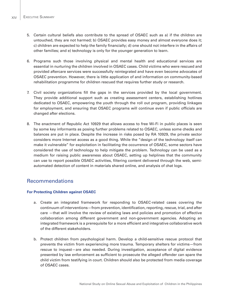- 5. Certain cultural beliefs also contribute to the spread of OSAEC such as a) if the children are untouched, they are not harmed; b) OSAEC provides easy money and almost everyone does it; c) children are expected to help the family financially; d) one should not interfere in the affairs of other families; and e) technology is only for the younger generation to learn.
- 6. Programs such those involving physical and mental health and educational services are essential in nurturing the children involved in OSAEC cases. Child victims who were rescued and provided aftercare services were successfully reintegrated and have even become advocates of OSAEC prevention. However, there is little application of and information on community-based rehabilitation programme for children rescued that requires further study or research.
- 7. Civil society organizations fill the gaps in the services provided by the local government. They provide additional support such as creating assessment centers, establishing hotlines dedicated to OSAEC, empowering the youth through the roll out program, providing linkages for employment, and ensuring that OSAEC programs will continue even if public officials are changed after elections.
- 8. The enactment of Republic Act 10929 that allows access to free Wi-Fi in public places is seen by some key informants as posing further problems related to OSAEC, unless some checks and balances are put in place. Despite the increase in risks posed by RA 10929, the private sector considers more Internet access as a good thing. While the "design of the technology itself can make it vulnerable" for exploitation in facilitating the occurrence of OSAEC, some sectors have considered the use of technology to help mitigate the problem. Technology can be used as a medium for raising public awareness about OSAEC, setting up helplines that the community can use to report possible OSAEC activities, filtering content delivered through the web, semiautomated detection of content in materials shared online, and analysis of chat logs.

### Recommendations

#### **For Protecting Children against OSAEC**

- a. Create an integrated framework for responding to OSAEC-related cases covering the continuum of interventions—from prevention, identification, reporting, rescue, trial, and after care —that will involve the review of existing laws and policies and promotion of effective collaboration among different government and non-government agencies. Adopting an integrated framework is a prerequisite for a more efficient and integrative collaborative work of the different stakeholders.
- b. Protect children from psychological harm. Develop a child-sensitive rescue protocol that prevents the victim from experiencing more trauma. Temporary shelters for victims—from rescue to inquest—are also needed. During investigation, acceptance of digital evidence presented by law enforcement as sufficient to prosecute the alleged offender can spare the child victim from testifying in court. Children should also be protected from media coverage of OSAEC cases.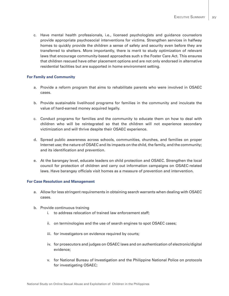c. Have mental health professionals, i.e., licensed psychologists and guidance counselors provide appropriate psychosocial interventions for victims. Strengthen services in halfway homes to quickly provide the children a sense of safety and security even before they are transferred to shelters. More importantly, there is merit to study optimization of relevant laws that encourage community-based approaches such s the Foster Care Act. This ensures that children rescued have other placement options and are not only endorsed in alternative residential facilities but are supported in home environment setting.

#### **For Family and Community**

- a. Provide a reform program that aims to rehabilitate parents who were involved in OSAEC cases.
- b. Provide sustainable livelihood programs for families in the community and inculcate the value of hard-earned money acquired legally.
- c. Conduct programs for families and the community to educate them on how to deal with children who will be reintegrated so that the children will not experience secondary victimization and will thrive despite their OSAEC experience.
- d. Spread public awareness across schools, communities, churches, and families on proper Internet use; the nature of OSAEC and its impacts on the child, the family, and the community; and its identification and prevention.
- e. At the barangay level, educate leaders on child protection and OSAEC. Strengthen the local council for protection of children and carry out information campaigns on OSAEC-related laws. Have barangay officials visit homes as a measure of prevention and intervention.

#### **For Case Resolution and Management**

- a. Allow for less stringent requirements in obtaining search warrants when dealing with OSAEC cases.
- b. Provide continuous training
	- i. to address relocation of trained law enforcement staff;
	- ii. on terminologies and the use of search engines to spot OSAEC cases;
	- iii. for investigators on evidence required by courts;
	- iv. for prosecutors and judges on OSAEC laws and on authentication of electronic/digital evidence;
	- v. for National Bureau of Investigation and the Philippine National Police on protocols for investigating OSAEC;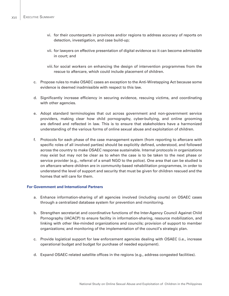- vi. for their counterparts in provinces and/or regions to address accuracy of reports on detection, investigation, and case build-up;
- vii. for lawyers on effective presentation of digital evidence so it can become admissible in court; and
- viii. for social workers on enhancing the design of intervention programmes from the rescue to aftercare, which could include placement of children.
- c. Propose rules to make OSAEC cases an exception to the Anti-Wiretapping Act because some evidence is deemed inadmissible with respect to this law.
- d. Significantly increase efficiency in securing evidence, rescuing victims, and coordinating with other agencies.
- e. Adopt standard terminologies that cut across government and non-government service providers, making clear how child pornography, cyber-bullying, and online grooming are defined and reflected in law. This is to ensure that stakeholders have a harmonized understanding of the various forms of online sexual abuse and exploitation of children.
- f. Protocols for each phase of the case management system (from reporting to aftercare with specific roles of all involved parties) should be explicitly defined, understood, and followed across the country to make OSAEC response sustainable. Internal protocols in organizations may exist but may not be clear as to when the case is to be taken to the next phase or service provider (e.g., referral of a small NGO to the police). One area that can be studied is on aftercare where children are in community-based rehabilitation programmes, in order to understand the level of support and security that must be given for children rescued and the homes that will care for them.

#### **For Government and International Partners**

- a. Enhance information-sharing of all agencies involved (including courts) on OSAEC cases through a centralized database system for prevention and monitoring.
- b. Strengthen secretariat and coordinative functions of the Inter-Agency Council Against Child Pornography (IACACP) to ensure facility in information-sharing, resource mobilization, and linking with other like-minded organizations and councils; provision of support to member organizations; and monitoring of the implementation of the council's strategic plan.
- c. Provide logistical support for law enforcement agencies dealing with OSAEC (i.e., increase operational budget and budget for purchase of needed equipment).
- d. Expand OSAEC-related satellite offices in the regions (e.g., address congested facilities).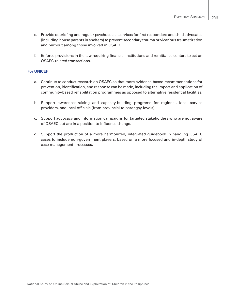- e. Provide debriefing and regular psychosocial services for first responders and child advocates (including house parents in shelters) to prevent secondary trauma or vicarious traumatization and burnout among those involved in OSAEC.
- f. Enforce provisions in the law requiring financial institutions and remittance centers to act on OSAEC-related transactions.

#### **For UNICEF**

- a. Continue to conduct research on OSAEC so that more evidence-based recommendations for prevention, identification, and response can be made, including the impact and application of community-based rehabilitation programmes as opposed to alternative residential facilities.
- b. Support awareness-raising and capacity-building programs for regional, local service providers, and local officials (from provincial to barangay levels).
- c. Support advocacy and information campaigns for targeted stakeholders who are not aware of OSAEC but are in a position to influence change.
- d. Support the production of a more harmonized, integrated guidebook in handling OSAEC cases to include non-government players, based on a more focused and in-depth study of case management processes.